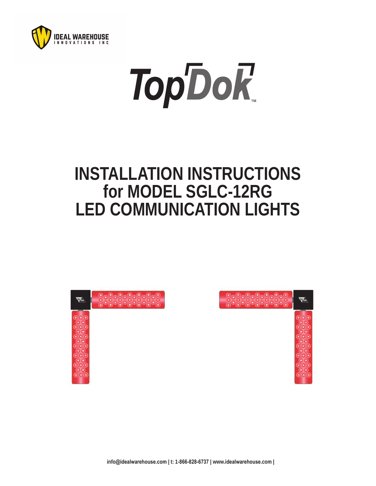

# **TopDoR**

## **INSTALLATION INSTRUCTIONS for MODEL SGLC-12RG LED COMMUNICATION LIGHTS**

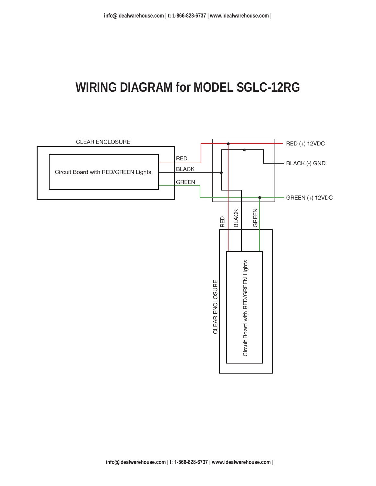### **WIRING DIAGRAM for MODEL SGLC-12RG**

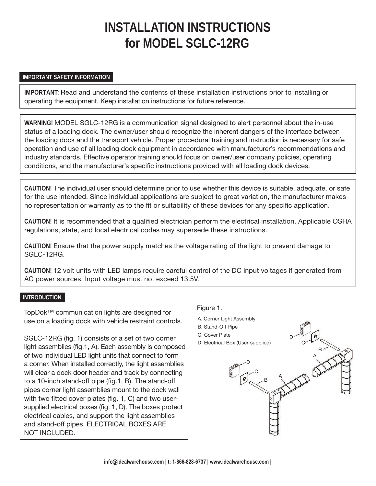## **INSTALLATION INSTRUCTIONS for MODEL SGLC-12RG**

#### **IMPORTANT SAFETY INFORMATION**

**IMPORTANT:** Read and understand the contents of these installation instructions prior to installing or operating the equipment. Keep installation instructions for future reference.

**WARNING!** MODEL SGLC-12RG is a communication signal designed to alert personnel about the in-use status of a loading dock. The owner/user should recognize the inherent dangers of the interface between the loading dock and the transport vehicle. Proper procedural training and instruction is necessary for safe operation and use of all loading dock equipment in accordance with manufacturer's recommendations and industry standards. Effective operator training should focus on owner/user company policies, operating conditions, and the manufacturer's specific instructions provided with all loading dock devices.

**CAUTION!** The individual user should determine prior to use whether this device is suitable, adequate, or safe for the use intended. Since individual applications are subject to great variation, the manufacturer makes no representation or warranty as to the fit or suitability of these devices for any specific application.

**CAUTION!** It is recommended that a qualified electrician perform the electrical installation. Applicable OSHA regulations, state, and local electrical codes may supersede these instructions.

**CAUTION!** Ensure that the power supply matches the voltage rating of the light to prevent damage to SGLC-12RG.

**CAUTION!** 12 volt units with LED lamps require careful control of the DC input voltages if generated from AC power sources. Input voltage must not exceed 13.5V.

#### **INTRODUCTION**

TopDok™ communication lights are designed for use on a loading dock with vehicle restraint controls.

SGLC-12RG (fig. 1) consists of a set of two corner light assemblies (fig.1, A). Each assembly is composed of two individual LED light units that connect to form a corner. When installed correctly, the light assemblies will clear a dock door header and track by connecting to a 10-inch stand-off pipe (fig.1, B). The stand-off pipes corner light assemblies mount to the dock wall with two fitted cover plates (fig. 1, C) and two usersupplied electrical boxes (fig. 1, D). The boxes protect electrical cables, and support the light assemblies and stand-off pipes. ELECTRICAL BOXES ARE NOT INCLUDED.

#### Figure 1.

- A. Corner Light Assembly
- B. Stand-Off Pipe
- C. Cover Plate
- D. Electrical Box (User-supplied)



D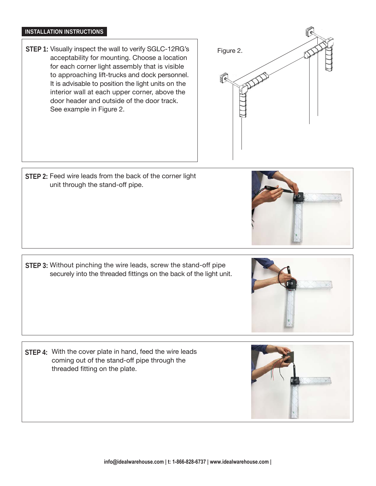#### **INSTALLATION INSTRUCTIONS**

STEP 1: Visually inspect the wall to verify SGLC-12RG's acceptability for mounting. Choose a location for each corner light assembly that is visible to approaching lift-trucks and dock personnel. It is advisable to position the light units on the interior wall at each upper corner, above the door header and outside of the door track. See example in Figure 2.



STEP 2: Feed wire leads from the back of the corner light unit through the stand-off pipe.

STEP 3: Without pinching the wire leads, screw the stand-off pipe securely into the threaded fittings on the back of the light unit.

STEP 4: With the cover plate in hand, feed the wire leads coming out of the stand-off pipe through the threaded fitting on the plate.





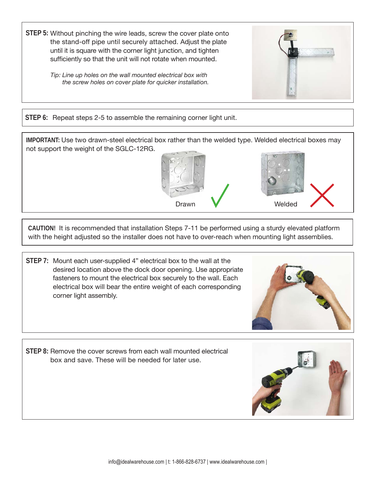STEP 5: Without pinching the wire leads, screw the cover plate onto the stand-off pipe until securely attached. Adjust the plate until it is square with the corner light junction, and tighten sufficiently so that the unit will not rotate when mounted.

> *Tip: Line up holes on the wall mounted electrical box with the screw holes on cover plate for quicker installation.*



**STEP 6:** Repeat steps 2-5 to assemble the remaining corner light unit.

**IMPORTANT:** Use two drawn-steel electrical box rather than the welded type. Welded electrical boxes may not support the weight of the SGLC-12RG.





**CAUTION!** It is recommended that installation Steps 7-11 be performed using a sturdy elevated platform with the height adjusted so the installer does not have to over-reach when mounting light assemblies.

STEP 7: Mount each user-supplied 4" electrical box to the wall at the desired location above the dock door opening. Use appropriate fasteners to mount the electrical box securely to the wall. Each electrical box will bear the entire weight of each corresponding corner light assembly.



STEP 8: Remove the cover screws from each wall mounted electrical box and save. These will be needed for later use.